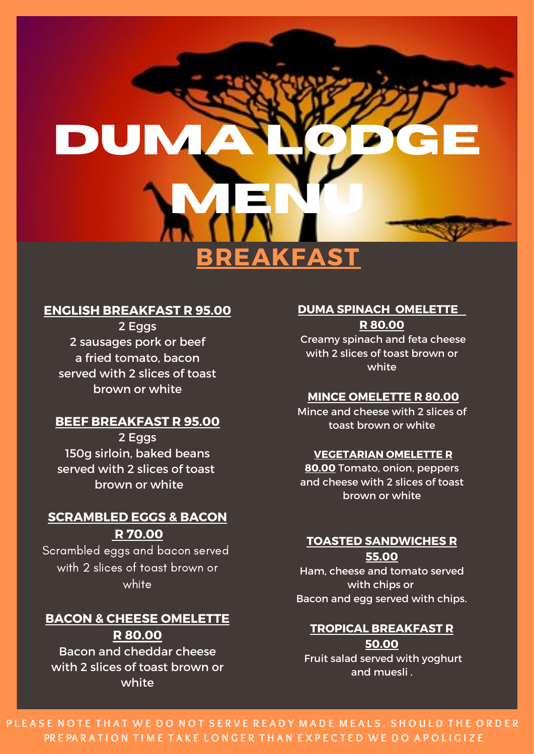

### **ENGLISH BREAKFAST R 95.00**

2 Eggs 2 sausages pork or beef a fried tomato, bacon served with 2 slices of toast brown or white

#### **BEEF BREAKFAST R 95.00**

2 Eggs 150g sirloin, baked beans served with 2 slices of toast brown or white

# **SCRAMBLED EGGS & BACON R 70.00**

Scrambled eggs and bacon served with 2 slices of toast brown or white

# **BACON & CHEESE OMELETTE R 80.00**

Bacon and cheddar cheese with 2 slices of toast brown or white

#### **DUMA SPINACH OMELETTE**

**R 80.00** Creamy spinach and feta cheese with 2 slices of toast brown or white

#### **MINCE OMELETTE R 80.00**

Mince and cheese with 2 slices of toast brown or white

#### **VEGETARIAN OMELETTE R**

**80.00** Tomato, onion, peppers and cheese with 2 slices of toast brown or white

#### **TOASTED SANDWICHES R 55.00**

Ham, cheese and tomato served with chips or Bacon and egg served with chips.

# **TROPICAL BREAKFAST R**

**50.00** Fruit salad served with yoghurt and muesli .

PLEASE NOTE THAT WE DO NOT SERVE READY MADE MEALS. SHOULD THE ORDER PR E PA R A T I O N T I M E T A K E L O N G E R T H A N E X P E C T E D W E D O A P O L I G I Z E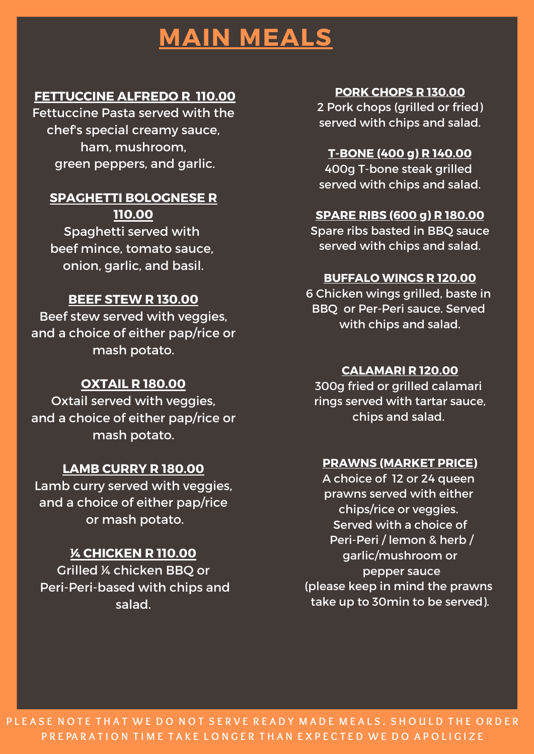# **MAIN MEALS**

# **FETTUCCINE ALFREDO R 110.00**

Fettuccine Pasta served with the chef's special creamy sauce, ham, mushroom, green peppers, and garlic.

# **SPAGHETTI BOLOGNESE R 110.00**

Spaghetti served with beef mince, tomato sauce, onion, garlic, and basil.

# **BEEF STEW R 130.00**

Beef stew served with veggies, and a choice of either pap/rice or mash potato.

# **OXTAIL R 180.00**

Oxtail served with veggies, and a choice of either pap/rice or mash potato.

# **LAMB CURRY R 180.00**

Lamb curry served with veggies, and a choice of either pap/rice or mash potato.

# **1⁄4 CHICKEN R 110.00**

Grilled 1⁄4 chicken BBQ or Peri-Peri-based with chips and salad.

# **PORK CHOPS R 130.00**

2 Pork chops (grilled or fried) served with chips and salad.

# **T-BONE (400 g) R 140.00**

400g T-bone steak grilled served with chips and salad.

# **SPARE RIBS (600 g) R 180.00**

Spare ribs basted in BBQ sauce served with chips and salad.

#### **BUFFALO WINGS R 120.00**

6 Chicken wings grilled, baste in BBQ or Per-Peri sauce. Served with chips and salad.

# **CALAMARI R 120.00**

300g fried or grilled calamari rings served with tartar sauce, chips and salad.

# **PRAWNS (MARKET PRICE)**

A choice of 12 or 24 queen prawns served with either chips/rice or veggies. Served with a choice of Peri-Peri / lemon & herb / garlic/mushroom or pepper sauce (please keep in mind the prawns take up to 30min to be served).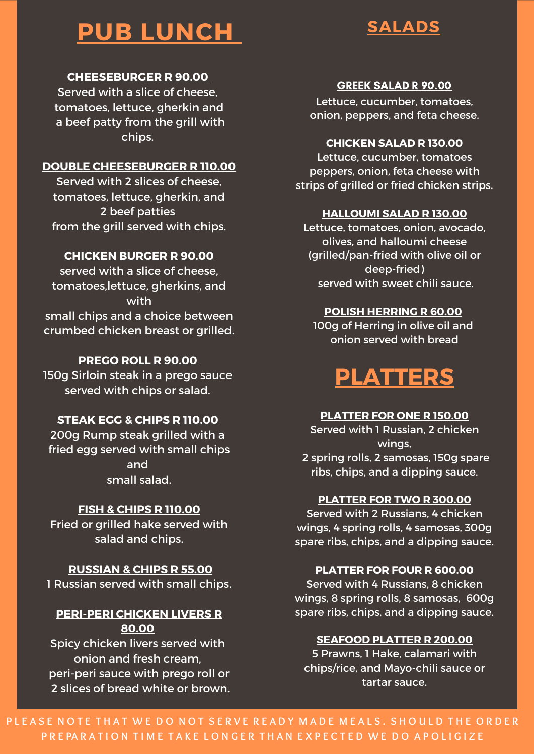# **PUB LUNCH**

# **SALADS**

#### **CHEESEBURGER R 90.00**

Served with a slice of cheese, tomatoes, lettuce, gherkin and a beef patty from the grill with chips.

#### **DOUBLE CHEESEBURGER R 110.00**

Served with 2 slices of cheese, tomatoes, lettuce, gherkin, and 2 beef patties from the grill served with chips.

#### **CHICKEN BURGER R 90.00**

served with a slice of cheese, tomatoes,lettuce, gherkins, and with small chips and a choice between crumbed chicken breast or grilled.

#### **PREGO ROLL R 90.00**

150g Sirloin steak in a prego sauce served with chips or salad.

#### **STEAK EGG & CHIPS R 110.00**

200g Rump steak grilled with a fried egg served with small chips and small salad.

#### **FISH & CHIPS R 110.00**

Fried or grilled hake served with salad and chips.

#### **RUSSIAN & CHIPS R 55.00**

1 Russian served with small chips.

#### **PERI-PERI CHICKEN LIVERS R 80.00**

Spicy chicken livers served with onion and fresh cream, peri-peri sauce with prego roll or 2 slices of bread white or brown.

#### GREEK SALAD R 90.00

Lettuce, cucumber, tomatoes, onion, peppers, and feta cheese.

#### **CHICKEN SALAD R 130.00**

Lettuce, cucumber, tomatoes peppers, onion, feta cheese with strips of grilled or fried chicken strips.

#### **HALLOUMI SALAD R 130.00**

Lettuce, tomatoes, onion, avocado, olives, and halloumi cheese (grilled/pan-fried with olive oil or deep-fried) served with sweet chili sauce.

#### **POLISH HERRING R 60.00**

100g of Herring in olive oil and onion served with bread

# **PLATTERS**

#### **PLATTER FOR ONE R 150.00**

Served with 1 Russian, 2 chicken wings, 2 spring rolls, 2 samosas, 150g spare ribs, chips, and a dipping sauce.

#### **PLATTER FOR TWO R 300.00**

Served with 2 Russians, 4 chicken wings, 4 spring rolls, 4 samosas, 300g spare ribs, chips, and a dipping sauce.

#### **PLATTER FOR FOUR R 600.00**

Served with 4 Russians, 8 chicken wings, 8 spring rolls, 8 samosas, 600g spare ribs, chips, and a dipping sauce.

#### **SEAFOOD PLATTER R 200.00**

5 Prawns, 1 Hake, calamari with chips/rice, and Mayo-chili sauce or tartar sauce.

PLEASE NOTE THAT WE DO NOT SERVE READY MADE MEALS. SHOULD THE ORDER P R E PA R A T I O N T I M E T A K E L O N G E R T H A N E X P E C T E D W E D O A P O L I G I Z E